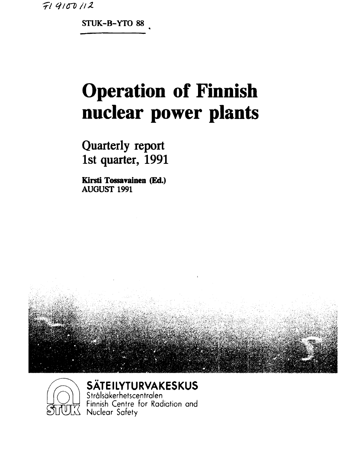$719100112$ 

**STUK-B-YTO 88** 

# **Operation of Finnish nuclear power plants**

**Quarterly report 1st quarter, 1991** 

**Kirsti Tossavainen (Ed.) AUGUST 1991** 





SÄTEILYTURVAKESKUS

Strålsäkerhetscentralen<br>Finnish Centre for Radiation and<br>ULX Nuclear Safety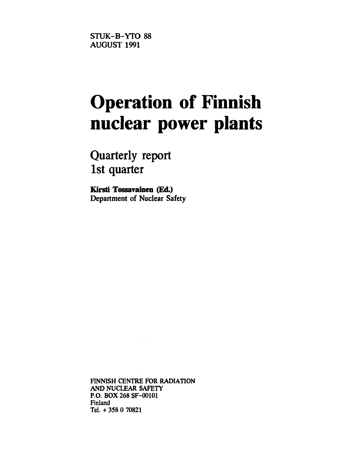STUK-B-YTO 88 AUGUST 1991

## **Operation of Finnish nuclear power plants**

**Quarterly report 1st quarter** 

**Kirsti Tossavainen (Ed.)**  Department of Nuclear Safety

**FINNISH CENTRE FOR RADIATION AND NUCLEAR SAFETY P.O. BOX 268 SF-00101 Finland Tel. + 358 0 70821**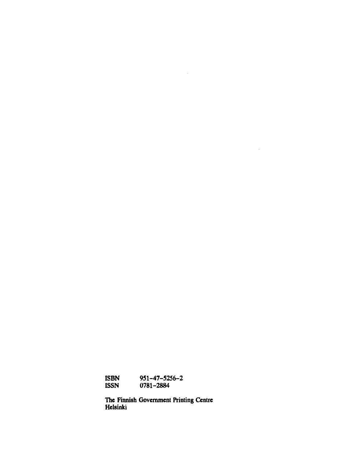**ISBN 951-47-5256-2 ISSN 0781-2884** 

**The Finnish Government Printing Centre Helsinki** 

 $\sim$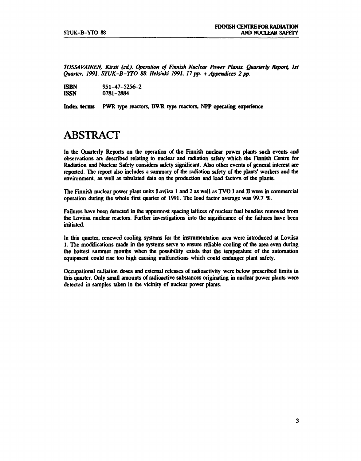*TOSSAVAINEN, Kirsti (sd). Operation of Finnish Nuclear Power Plants. Quarterfy Report, 1st Quarter, 1991. STUK-B-YTO 88. Helsinki 1991, 17 pp.* **+** *Appendices 2 pp.* 

| <b>ISBN</b> | $951 - 47 - 5256 - 2$ |
|-------------|-----------------------|
| <b>ISSN</b> | 0781-2884             |

**Index terms PWR type reactors, BVR type reactors, NPP operating experience** 

### **ABSTRACT**

**In the Quarterly Reports on the operation of the Finnish nuclear power plants such events and observations are described relating to nuclear and radiation safety which the Finnish Centre for Radiation and Nuclear Safety considers safety significant. Also other events of general interest are reported. The report also includes a summary of the radiation safety of the plants' workers and the environment, as well as tabulated data on the production and load factors of the plants.** 

**The Finnish nuclear power plant units Loviisa 1 and 2 as well as TVO I and II were in commercial operation during the whole first quarter of 1991. The load factor average was 99.7** *%.* 

**Failures have been detected in the uppermost spacing lattices of nuclear fuel bundles removed from the Loviisa nuclear reactors. Further investigations into the significance of the failures have been initiated.** 

**In this quarter, renewed cooling systems for the instrumentation area were introduced at Loviisa 1. The modifications made in the systems serve to ensure reliable cooling of the area even during the hottest summer months when the possibility exists that the temperature of the automation equipment could rise too high causing malfunctions which could endanger plant safety.** 

**Occupational radiation doses and external releases of radioactivity were below prescribed limits in this quarter. Only small amounts of radioactive substances originating in nuclear power plants were detected in samples taken in the vicinity of nuclear power plants.**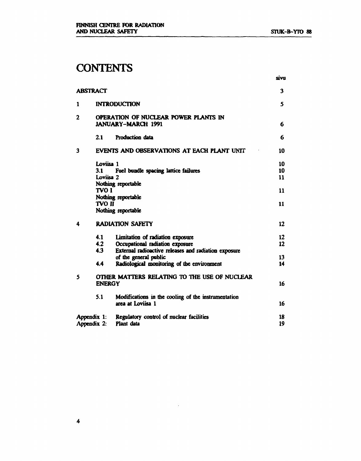### **CONTENTS**

|   | <b>ABSTRACT</b>               |                                                                                                                             | 3              |
|---|-------------------------------|-----------------------------------------------------------------------------------------------------------------------------|----------------|
| 1 |                               | <b>INTRODUCTION</b>                                                                                                         | 5              |
| 2 |                               | OPERATION OF NUCLEAR POWER PLANTS IN<br><b>JANUARY-MARCH 1991</b>                                                           | 6              |
|   | 21                            | Production data                                                                                                             | 6              |
| 3 |                               | EVENTS AND OBSERVATIONS AT EACH PLANT UNIT                                                                                  | 10             |
|   | Loviisa 1<br>3.1<br>Loviisa 2 | Fuel bundle spacing lattice failures<br>Nothing reportable                                                                  | 10<br>10<br>11 |
|   | <b>TVO I</b>                  | Nothing reportable                                                                                                          | 11             |
|   | <b>TVO II</b>                 | Nothing reportable                                                                                                          | 11             |
| 4 |                               | <b>RADIATION SAFETY</b>                                                                                                     | 12             |
|   | 4.1<br>4.2<br>4.3             | Limitation of radiation exposure<br>Occupational radiation exposure<br>External radioactive releases and radiation exposure | $12 \,$<br>12  |
|   | 4.4                           | of the general public<br>Radiological monitoring of the environment                                                         | 13<br>14       |
| 5 | <b>ENERGY</b>                 | OTHER MATTERS RELATING TO THE USE OF NUCLEAR                                                                                | 16             |
|   | 5.1                           | Modifications in the cooling of the instrumentation<br>area at Loviisa 1                                                    | 16             |
|   | Appendix 1:<br>Appendix 2:    | Regulatory control of nuclear facilities<br>Plant data                                                                      | 18<br>19       |

 $\mathcal{A}^{\mathcal{A}}$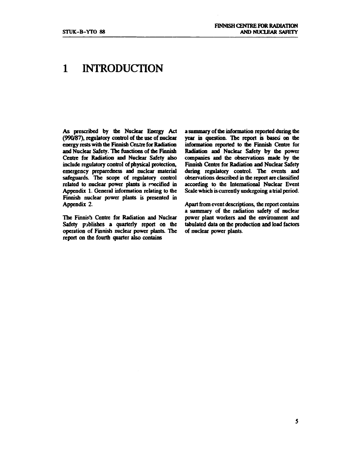### **1 INTRODUCTION**

**As prescribed by the Nuclear Energy Act (990/87), regulatory control of the use of nuclear energy rests with the Finnish Centre for Radiation and Nuclear Safety. The functions of the Finnish Centre for Radiation and Nuclear Safety also include regulatory control of physical protection, emergency preparedness and nuclear material safeguards. The scope of regulatory control**  related to nuclear power plants is specified in **Appendix 1. General information relating to the Finnish nuclear power plants is presented in Appendix 2.** 

**The Finnish Centre for Radiation and Nuclear Safety publishes a quarterly report on the operation of Finnish nuclear power plants. The report on the fourth quarter also contains** 

**a summary of the information reported during the year in question. The report is based on the information reported to the Finnish Centre for Radiation and Nuclear Safety by the power companies and the observations made by the Finnish Centre for Radiation and Nuclear Safety during regulatory control. The events and observations described in the report are classified according to the International Nuclear Event Scale which is currently undergoing atrial period.** 

**Apart from event descriptions, the report contains a summary of the radiation safety of nuclear power plant workers and the environment and tabulated data on the production and load factors of nuclear power plants.**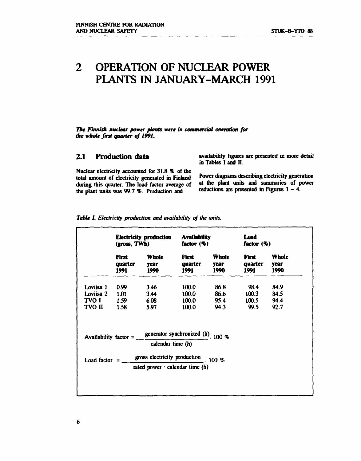### **2 OPERATION OF NUCLEAR POWER PLANTS IN JANUARY-MARCH 1991**

*The Finnish nuclear power plants were in commercial operation for the whole first quarter of 1991.* 

Nuclear electricity accounted for 31.8 % of the total amount of electricity generated in Finland during this quarter. The load factor average of the plant units was 99.7 *%.* Production and reductions are presented in Figures 1 - 4.

2.1 Production data **and availability figures are presented in more detail** in Tables I and II.

> Power diagrams describing electricity generation at the plant units and summaries of power

|               | <b>Electricity production</b><br>(gross, TWh) |                                                                                                  | <b>Availability</b><br>factor $(\%)$ |                       | Load<br>factor $(\%)$    |                       |  |
|---------------|-----------------------------------------------|--------------------------------------------------------------------------------------------------|--------------------------------------|-----------------------|--------------------------|-----------------------|--|
|               | First<br>quarter<br>1991                      | <b>Whole</b><br>year<br>1990                                                                     | First<br>quarter<br>1991             | Whole<br>year<br>1990 | First<br>quarter<br>1991 | Whole<br>year<br>1990 |  |
| Loviisa 1     | 0.99                                          | 3.46                                                                                             | 100.0                                | 86.8                  | 98.4                     | 84.9                  |  |
| Loviisa 2     | 1.01                                          | 3.44                                                                                             | 100.0 <sub>1</sub>                   | 86.6                  | 100.3                    | 84.5                  |  |
| TVO I         | 1.59                                          | 6.08                                                                                             | 100.0                                | 95.4                  | 100.5                    | 94.4                  |  |
| <b>TVO II</b> | 1.58                                          | 5.97                                                                                             | 100.0                                | 94.3                  | <b>99.5</b>              | 92.7                  |  |
|               |                                               | Availability factor = $\frac{\text{generator synchronized (h)}}{2}$ . 100 %<br>calendar time (h) |                                      |                       |                          |                       |  |
|               |                                               |                                                                                                  |                                      |                       |                          |                       |  |

*Table I. Electricity production and availability of the units.* 

6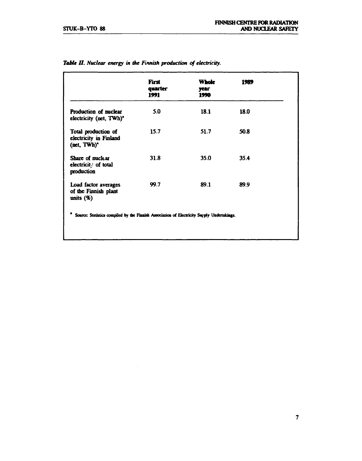|                                                              | First<br>quarter<br>1991 | <b>Whole</b><br>year<br><b>1990</b> | 1989 |  |
|--------------------------------------------------------------|--------------------------|-------------------------------------|------|--|
| Production of nuclear<br>electricity (net, TWh) <sup>*</sup> | 5.0                      | 18.1                                | 18.0 |  |
| Total production of<br>electricity in Finland<br>(net, TWh)* | 15.7                     | 51.7                                | 50.8 |  |
| Share of nuclear<br>electricit. of total<br>production       | 31.8                     | 35.0                                | 35.4 |  |
| Load factor averages<br>of the Finnish plant<br>units $(\%)$ | 99.7                     | 89.1                                | 89.9 |  |

### *Table II. Nuclear energy in the Finnish production of electricity.*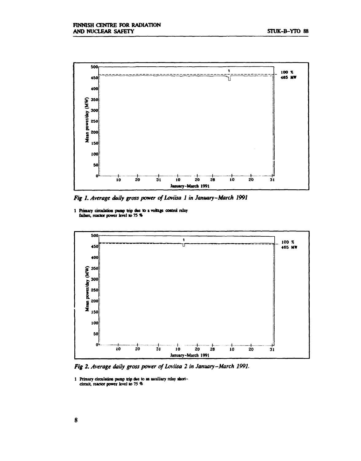

*Fig 1. Average daily gross power of Loviisa 1 in January-March 1991* 

**1 Primary drculatioa poop trip doe lo a voltage control relay failure, reactor power level lo 75 %** 



Fig 2. Average daily gross power of Loviisa 2 in January-March 1991.

**1 Primary circulation pump trip due to an auxiliary relay ibortdrcuif, reactor power level to 75 %**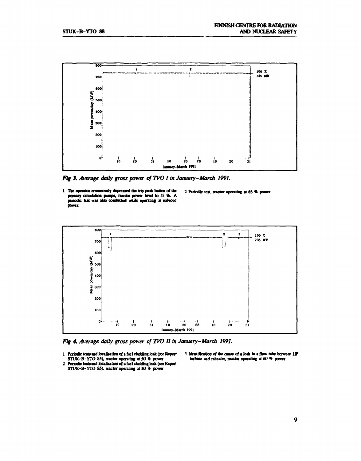

*Fig 3. Average daily gross power of TVO I in January-March 1991.* 





*Fig 4. Average daily gross power of TVO II in January-March 1991.* 

- **1 Periodic tests aad localisation of a fuel cladding leak (see Report CTUK-B-YTO 85), reactor operating it 50 % power**
- **2 Periodic tests and localisation of a fuel cladding leak (see Report STUK-B-YTO 85), reactor operating at 50 % power**
- **3 Identification** *et* **the cause of a leak in a flow tube between HP turbine and rebeater, reactor operating at 60** *%* **power**
-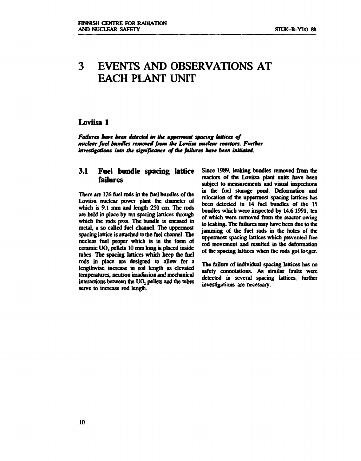### **3 EVENTS AND OBSERVATIONS AT EACH PLANT UNIT**

#### **Loviisa 1**

*Failures have been detected in the uppermost spacing lattices of nuclear fuel bundles removed from the Loviisa nuclear reactors. Further investigations into the significance of the failures have been initiated.* 

#### **3.1 Fuel bundle spacing lattice failures**

**There are 126 fuel rods in the fuel bundles of the Loviisa nuclear power plant the diameter of which is 9.1 nun and length 250 cm. The rods are held in place by ten spacing lattices through which the rods p»ss. The bundle is encased in metal, a so called fuel channel. The uppermost spacing lattice is attached to the fuel channel. The nuclear fuel proper which is in the form of ceramic U0 <sup>2</sup> pellets 10 mm long is placed inside tubes. The spacing lattices which keep the fuel rods in place are designed to allow for a lengthwise increase in rod length as elevated temperatures, neutron irradiation and mechanical interactions between the U02 pellets and the tubes serve to increase rod length.** 

**Since 1989, leaking bundles removed from the reactors of the Loviisa plant units have been subject to measurements and visual inspections in the fuel storage pond. Deformation and relocation of the uppermost spacing lattices has been detected in 14 fuel bundles of the 15 bundles which were inspected by 14.6.1991, ten of which were removed from the reactor owing to leaking. The failures may have been due to the jamming of the fuel rods in the holes of the uppermost spacing lattices which prevented free rod movement and resulted in the deformation**  of the spacing lattices when the rods got longer.

**The failure of individual spacing lattices has no safety connotations. As similar faults were detected in several spacing lattices, further investigations are necessary.**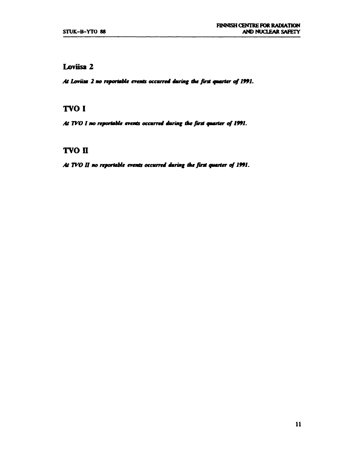#### **Loviisa 2**

*At Lamaa 2 no reportable events occurred during tiu first quarter of 1991.* 

### **TVO I**

At TVO I no reportable events occurred during the first quarter of 1991.

### **TVO n**

*At WO 11 no reportable events occurred during ike first quarter of 1991.*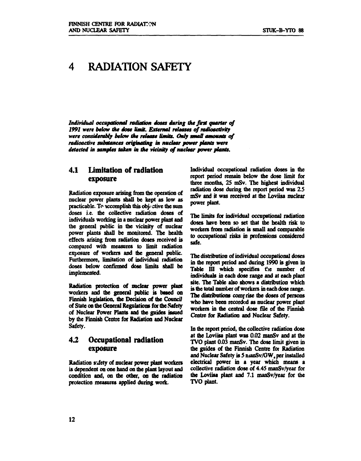### **4 RADIATION SAFETY**

*Individual occupational radiation doses during At first quarter of 1991 were below the dose limit. External releases of radioactivity were considerably below the release limits. Only small amounts of radioactive substances originating in nuclear power plants were detected in samples taken in ike vicinity of nuclear power plants.* 

#### **4.1 Limitation of radiation exposure**

**Radiation exposure arising from the operation of nuclear power plants shall be kept as low as practicable. To accomplish this objective the sum doses i.e. the collective radiation doses of individuals working in a nuclear power plant and the general public in the vicinity of nuclear power plants shall be monitored. The health effects arising from radiation doses received is compared with measures to limit radiation exposure of workers and the general public. Furthermore, limitation of individual radiation doses below confirmed dose limits shall be implemented.** 

**Radiation protection of nuclear power plant workers and the general public is based on Finnish legislation, the Decision of the Council of State on the General Regulations for the Safety of Nuclear Power Plants and the guides issued by the Finnish Centre for Radiation and Nuclear Safety.** 

#### **4.2 Occupational radiation exposure**

**Radiation safety of nuclear power plant workers is dependent on one hand on the plant layout and condition and, on the other, on the radiation protection measures applied during work.** 

**Individual occupational radiation doses in the report period remain below the dose limit for three months, 25 mSv. The highest individual radiation dose during the report period was 2.5 mSv and it was received at the Loviisa nuclear power plant.** 

**The limits for individual occupational radiation**  doses have been so set that the health risk to **workers from radiation is small and comparable to occupational risks in professions considered safe.** 

**The distribution of individual occupational doses in die report period and during 1990 is given in**  Table III which specifies the number of **individuals in each dose range and at each plant site. The Table also shows a distribution which is the total number of workers in each dose range.**  The distributions comprise the doses of persons **who have been recorded as nuclear power plant workers in the central dose file of the Finnish Centre for Radiation and Nuclear Safety.** 

**In the report period, the collective radiation dose**  *at* **the Loviisa plant was 0.02 manSv and at the TVO plant 0.03 manSv. The dose limit given in the guides of the Finnish Centre for Radiation and Nuclear Safety is 5 nianSv/GW, per installed electrical power in a year which means a collective radiation dose of 4.45 manSv/year for the Loviisa plant and 7.1 manSv/year for the TVO plant.**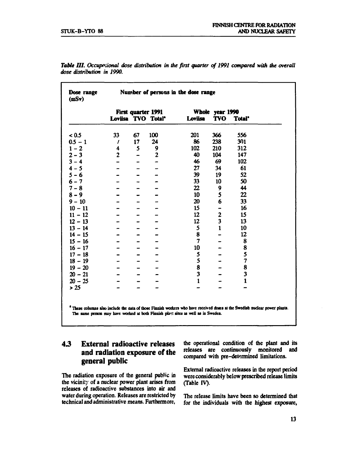|           |              |    | First quarter 1991             |                         |                         | Whole year 1990    |
|-----------|--------------|----|--------------------------------|-------------------------|-------------------------|--------------------|
|           |              |    | Loviisa TVO Total <sup>*</sup> | Loviisa                 | <b>TVO</b>              | Total <sup>*</sup> |
| < 0.5     | 33           | 67 | 100                            | 201                     | 366                     | 556                |
| $0.5 - 1$ | $\prime$     | 17 | 24                             | 86                      | 238                     | 301                |
| $1 - 2$   | 4            | 5  | 9                              | 102                     | 210                     | 312                |
| $2 - 3$   | $\mathbf{2}$ |    | $\mathbf{2}$                   | 40                      | 104                     | 147                |
| $3 - 4$   |              |    |                                | 46                      | 69                      | 102                |
| $4 - 5$   |              |    |                                | 27                      | 34                      | 61                 |
| $5 - 6$   |              |    |                                | 39                      | 19                      | 52                 |
| $6 - 7$   |              |    |                                | 33                      | 10                      | 50                 |
| $7 - 8$   |              |    |                                | 22                      | 9                       | 44                 |
| $8 - 9$   |              |    |                                | 10                      | 5                       | 22                 |
| $9 - 10$  |              |    |                                | 20                      | 6                       | 33                 |
| $10 - 11$ |              |    |                                | 15                      |                         | 16                 |
| $11 - 12$ |              |    |                                | 12                      | $\overline{\mathbf{c}}$ | 15                 |
| $12 - 13$ |              |    |                                | 12                      | 3                       | 13                 |
| $13 - 14$ |              |    |                                | 5                       | $\mathbf{1}$            | 10                 |
| $14 - 15$ |              |    |                                | 8                       |                         | 12                 |
| $15 - 16$ |              |    |                                | $\overline{\mathbf{z}}$ |                         | 8                  |
| $16 - 17$ |              |    |                                | 10                      |                         | 8                  |
| $17 - 18$ |              |    |                                | 5                       |                         | 5                  |
| $18 - 19$ |              |    |                                | 5                       |                         | 7                  |
| $19 - 20$ |              |    |                                | 8                       |                         | 8                  |
| $20 - 21$ |              |    |                                | 3                       |                         | 3                  |
| $20 - 25$ |              |    |                                | $\mathbf{1}$            |                         | $\mathbf{1}$       |
| > 25      |              |    |                                |                         |                         |                    |

Table III. Occupational dose distribution in the first quarter of 1991 compared with the overall *dose distribution in 1990.* 

 **These column» also include ibe data of those Finnish workers who have received doses at the Swedish nuclear power plants. The same person may have worked at both Finnish plant sites as well as in Sweden.** 

### **4.3 External radioactive releases and radiation exposure of the general public**

The radiation exposure of the general public in the vicinity of a nuclear power plant arises from releases of radioactive substances into air and water during operation. Releases are restricted by technical and administrative means. Furthermore,

the operational condition of the plant and its releases are continuously monitored and compared with pre-determined limitations.

External radioactive releases in the report period were considerably below prescribed release limits (Table IV).

The release limits have been so determined that for the individuals with the highest exposure,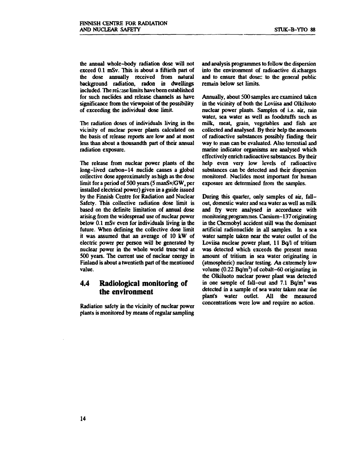**the annual whole-body radiation dose will not exceed 0.1 mSv. This is about a fiftieth part of the dose annually received from natural background radiation, radon in dwellings**  included. The reignse limits have been established **for such nuclides and release channels as have significance from the viewpoint of the possibility of exceeding the individual dose limit.** 

**The radiation doses of individuals living in the vicinity of nuclear power plants calculated on the basis of release reports are low and at most less than about a thousandth part of their annual radiation exposure.** 

**The release from nuclear power plants of the long-lived carbon-14 nuclide causes a global collective dose approximately as high as the dose**  limit for a period of 500 years (5 manSv/GW<sub>e</sub> per **installed electrical power) given in a guide issued by the Finnish Centre for Radiation and Nuclear Safety. This collective radiation dose limit is based on the definite limitation of annual dose arising from the widespread use of nuclear power below 0.1 mSv even for individuals living in the future. When defining the collective dose limit it was assumed that an average of 10 kW of electric power per person will be generated by nuclear power in the whole world truncated at 500 years. The current use of nuclear energy in Finland is about a twentieth part of the mentioned value.** 

#### **4.4 Radiological monitoring of the environment**

**Radiation safety in the vicinity of nuclear power plants is monitored by means of regular sampling**  **and analysis programmes to follow the dispersion into the environment of radioactive discharges and to ensure that dosec to the general public remain below set limits.** 

**Annually, about 500 samples are examined taken in the vicinity of both the Loviisa and Olkiluoto nuclear power plants. Samples of i.a. air, rain water, sea water as well as foodstuffs such as milk, meat, grain, vegetables and fish are collected and analysed. By their help the amounts of radioactive substances possibly finding their way to man can be evaluated. Also terrestial and marine indicator organisms are analysed which effectively enrich radioactive substances. By their help even very low levels of radioactive substances can be detected and their dispersion monitored. Nuclides most important for human exposure are determined from the samples.** 

**During this quarter, only samples of air, fallout, domestic water and sea water as well as milk and fry were analysed in accordance with monitoring programmes. Caesium-137 originating in the Chernobyl accident still was the dominant artificial radionuclide in all samples. In a sea water sample taken near the water outlet of the Loviisa nuclear power plant, 11 Bq/1 of tritium was detected which exceeds the present mean amount of tritium in sea water originating in (atmospheric) nuclear testing. An extremely low volume (0.22 Bq/m<sup>2</sup> ) of cobalt-60 originating in the Olkiluoto nuclear power plant was detected in one sample of fall-out and 7.1 Bq/m<sup>3</sup> was detected in a sample of sea water taken near the plant's water outlet. All the measured concentrations were low and require no action.**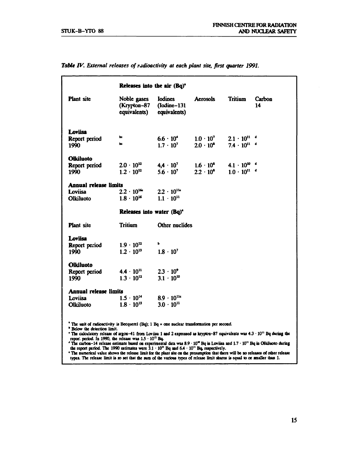|                                                                                                                                                                                                                                                                                     |                                                                 | Releases into the air (Bq) <sup>a</sup>             |                    |                       |              |
|-------------------------------------------------------------------------------------------------------------------------------------------------------------------------------------------------------------------------------------------------------------------------------------|-----------------------------------------------------------------|-----------------------------------------------------|--------------------|-----------------------|--------------|
| <b>Plant</b> site                                                                                                                                                                                                                                                                   | Noble gases<br>(Krypton–87<br>equivalents)                      | <b>Iodines</b><br>$($ Iodine $-131$<br>equivalents) | <b>Aerosols</b>    | Tritium               | Carbon<br>14 |
| Loviisa                                                                                                                                                                                                                                                                             |                                                                 |                                                     |                    |                       |              |
| Report period                                                                                                                                                                                                                                                                       | œ                                                               | $6.6 \cdot 10^{4}$                                  | $1.0 \cdot 10^{7}$ | $2.1 \cdot 10^{11}$ d |              |
| 1990                                                                                                                                                                                                                                                                                | p.                                                              | $1.7 \cdot 10^{7}$                                  | $2.0 \cdot 10^{8}$ | $7.4 \cdot 10^{11}$ d |              |
|                                                                                                                                                                                                                                                                                     |                                                                 |                                                     |                    |                       |              |
| Olkiluoto                                                                                                                                                                                                                                                                           | $2.0 \cdot 10^{12}$                                             | $4,4 \cdot 10^{7}$                                  | $1.6 \cdot 10^{5}$ | $4.1 \cdot 10^{10}$ d |              |
| Report period<br>1990                                                                                                                                                                                                                                                               | $1.2 \cdot 10^{12}$                                             | $5.6 \cdot 10^{7}$                                  | $2.2 \cdot 10^{5}$ | $1.0 \cdot 10^{11}$ d |              |
|                                                                                                                                                                                                                                                                                     |                                                                 |                                                     |                    |                       |              |
| <b>Annual release limits</b>                                                                                                                                                                                                                                                        |                                                                 |                                                     |                    |                       |              |
| Loviisa                                                                                                                                                                                                                                                                             | $2.2 \cdot 10^{16}$                                             | $2.2 \cdot 10^{116}$                                |                    |                       |              |
| Olkiluoto                                                                                                                                                                                                                                                                           | $1.8 \cdot 10^{16}$                                             | $1.1 \cdot 10^{11}$                                 |                    |                       |              |
|                                                                                                                                                                                                                                                                                     | Releases into water (Bq) <sup>*</sup>                           |                                                     |                    |                       |              |
| Plant site                                                                                                                                                                                                                                                                          | <b>Tritium</b>                                                  | Other nuclides                                      |                    |                       |              |
| Loviisa                                                                                                                                                                                                                                                                             |                                                                 |                                                     |                    |                       |              |
| Report period                                                                                                                                                                                                                                                                       | $1.9 \cdot 10^{12}$                                             | ь                                                   |                    |                       |              |
| 1990                                                                                                                                                                                                                                                                                | $1.2 \cdot 10^{13}$                                             | $1.8 \cdot 10^{7}$                                  |                    |                       |              |
|                                                                                                                                                                                                                                                                                     |                                                                 |                                                     |                    |                       |              |
| <b>Olkiluoto</b>                                                                                                                                                                                                                                                                    |                                                                 |                                                     |                    |                       |              |
| Report period                                                                                                                                                                                                                                                                       | $4.4 \cdot 10^{11}$                                             | $2.3 \cdot 10^{9}$                                  |                    |                       |              |
| 1990                                                                                                                                                                                                                                                                                | $1.3 \cdot 10^{12}$                                             | $3.1 \cdot 10^{10}$                                 |                    |                       |              |
| Annual release limits                                                                                                                                                                                                                                                               |                                                                 |                                                     |                    |                       |              |
| Loviisa                                                                                                                                                                                                                                                                             | $1.5 \cdot 10^{14}$                                             | $8.9 \cdot 10^{116}$                                |                    |                       |              |
| Olkiluoto                                                                                                                                                                                                                                                                           | $1.8 \cdot 10^{13}$                                             | $3.0 \cdot 10^{11}$                                 |                    |                       |              |
| <sup>a</sup> The unit of radioactivity is Becquerel (Bq); 1 Bq = one nuclear transformation per second.<br><b>Below the detection limit.</b><br>"The calculatory release of argon-41 from Loviisa 1 and 2 expressed as krypton-87 equivalents was $4.3 \cdot 10^{11}$ Bq during the | report period. In 1990, the release was $1.5 \cdot 10^{12}$ Bq. |                                                     |                    |                       |              |

Table IV. External releases of radioactivity at each plant site, first quarter 1991.

**' The carbon-14 release estimate based on experimental dau was 8.9 • 10" Bq in Loviisa and 1.7 • 10" Bq in Olkiluoto during the report period. The 1990 estimates were 3.1 -10" Bq and 6.4 -10" Bq, respectively.** 

**\* The numerical value shows the release limit for the plant site on the presumption that there will be no releases of other release types. The release limit is so set that the sum of Ibe various types of release limit shares is equal to or smaller than 1.**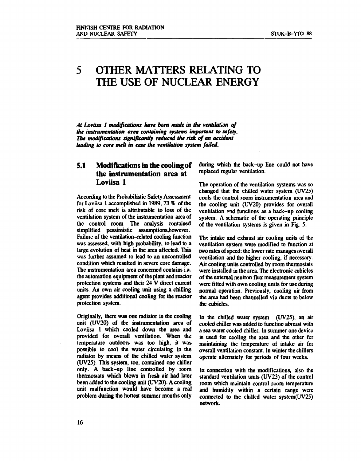### **5 OTHER MATTERS RELATING TO THE USE OF NUCLEAR ENERGY**

*At Loviisa 1 modifications have been made in the ventilation of the instrumentation area containing systems important to safety. The modifications significantly reduced the risk of an accident leading to core melt in case the ventilation system failed.* 

#### **5.1 Modifications in the cooling of the instrumentation area at Loviisa 1**

**According to the Probabilistic Safety Assessment for Loviisa 1 accomplished in 1989, 73 % of the risk of core melt is attributable to loss of the ventilation system of the instrumentation area of the control room. The analysis contained simplified pessimistic assumptions,however. Failure of the ventilation-related cooling function was assessed, with high probability, to lead to a large evolution of heat in the area affected. This was further assumed to lead to an uncontrolled condition which resulted in severe core damage. The instrumentation area concerned contains i.a. the automation equipment of the plant and reactor protection systems and their 24 V direct current units. An own air cooling unit using a chilling agent provides additional cooling for the reactor protection system.** 

**Originally, there was one radiator in the cooling unit (UV20) of the instrumentation area of Loviisa 1 which cooled down the area and provided for overall ventilation. When the temperature outdoors was too high, it was possible to cool the water circulating in the radiator by means of the chilled water system (UV25). This system, too, contained one chiller only. A back-up line controlled by room thermostats which blows in fresh air had later been added to the cooling unit (UV20). A cooling unit malfunction would have become a real problem during the hottest summer months only** 

**during which the back-up line could not have replaced regular ventilation.** 

**The operation of the ventilation systems was so changed that the chilled water system (UV25) cools the control room instrumentation area and the cooling unit (UV20) provides for overall ventilation ?nd functions as a back-up cooling system. A schematic of the operating principle of the ventilation systems is given in Fig. 5.** 

**The intake and exhaust air cooling units of the ventilation system were modified to function at two rates of speed: the lower rate manages overall ventilation and the higher cooling, if necessary. Air cooling units controlled by room thermostats were installed in the area. The electronic cubicles of the external neutron flux measurement system were fitted with own cooling units for use during normal operation. Previously, cooling air from the area had been channelled via ducts to below the cubicles.** 

**In the chilled water system (UV2S), an air cooled chiller was added to function abreast with a sea water cooled chiller. In summer one device is used for cooling the area and the other for maintaining the temperature of intake air for overall ventilation constant. In winter the chillers operate alternately for periods of four weeks.** 

**In connection with the modifications, also the standard ventilation units (UV23) of the control room which maintain control room temperature and humidity within a certain range were connected to the chilled water system(UV25) network.**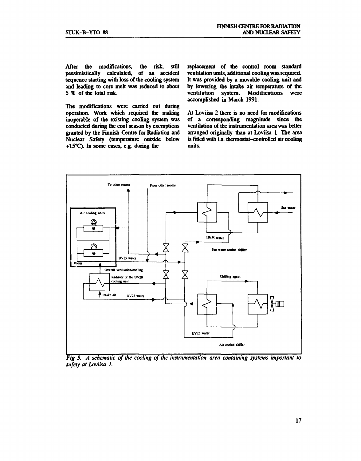**After the modifications, the risk, still pessimistically calculated, of an accident sequence starting with loss of the cooling system and leading to core melt was reduced to about 5 % of the total risk.** 

**The modifications were carried out during operation. Work which required the making inoperable of the existing cooling system was conducted during the cool season by exemptions granted by the Finnish Centre for Radiation and Nuclear Safety (temperature outside below +15°C). In some cases, e.g. during the** 

**replacement of the control room standard ventilation units, additional cooling was required. It was provided by a movable cooling unit and by lowering the intake air temperature of the ventilation system. Modifications were accomplished in March 1991.** 

**At Loviisa 2 there is no need for modifications of a corresponding magnitude since the ventilation of the instrumentation area was better arranged originally than at Loviisa 1. The area is fitted with i.a. thermostat-controlled air cooling units.** 



*Fig 5. A schematic of the cooling of the instrumentation area containing systems important to safety at Loviisa I.*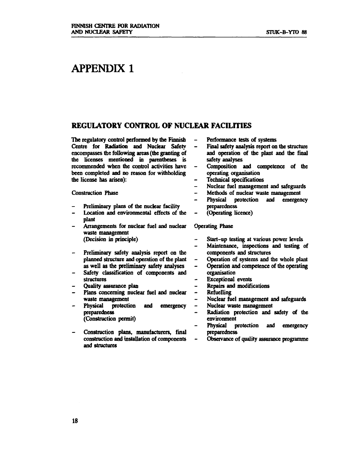### **APPENDIX 1**

#### **REGULATORY CONTROL OF NUCLEAR FACILITIES**

**The regulatory control performed by the Finnish Centre for Radiation and Nuclear Safety encompasses the following areas (die granting of the licenses mentioned in parentheses is recommended when the control activities have been completed and no reason for withholding the license has arisen):** 

**Construction Phase** 

- **Preliminary plans of the nuclear facility**
- **Location and environmental effects of the plant**
- **Arrangements for nuclear fuel and nuclear waste management (Decision in principle)**
- **Preliminary safety analysis report on the planned structure and operation of the plant as well as the preliminary safety analyses**
- **Safety classification of components and structures**
- **Quality assurance plan**
- **Plans concerning nuclear fuel and nuclear waste management**
- **Physical protection and emergency preparedness (Construction permit)**
- **Construction plans, manufacturers, final construction and installation of components and structures**
- **Performance tests of systems**   $\ddot{\phantom{1}}$
- **Final safety analysis report on the structure and operation of the plant and the final safety analyses**
- **Composition and competence of the operating organisation**
- **Technical specifications**
- **Nuclear fuel management and safeguards**
- **Methods of nuclear waste management**   $\overline{a}$
- **Physical protection and emergency preparedness**
- **(Operating licence)**

#### **Operating Phase**

- **Start-up testing at various power levels**
- **Maintenance, inspections and testing of components and structures**
- **Operation of systems and the whole plant**   $\overline{\phantom{a}}$
- **Operation and competence of the operating**   $\overline{a}$
- **organisation Exceptional events**
- **Repairs and modifications**
- **Refuelling**
- **Nuclear fuel management and safeguards**  L.
- $\overline{\phantom{0}}$ **Nuclear waste management**
- **Radiation protection and safety of the environment**
- **Physical protection and emergency preparedness**
- **Observance of quality assurance programme**   $\overline{a}$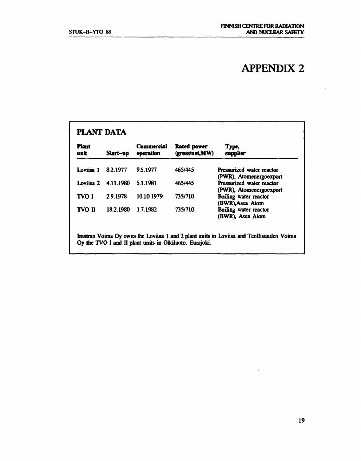## **APPENDIX 2**

| <b>Piant</b><br>unit | Start-up  | Commercial<br>operation | <b>Rated power</b><br>(gross/net,MW) | Type,<br>supplier                                    |
|----------------------|-----------|-------------------------|--------------------------------------|------------------------------------------------------|
| Loviisa 1            | 8.2.1977  | 9.5.1977                | 465/445                              | Pressurized water reactor<br>(PWR), Atomenergoexport |
| Loviisa 2            | 4.11.1980 | 5.1.1981                | 465/445                              | Pressurized water reactor<br>(PWR), Atomenergoexport |
| TVO I                | 2.9.1978  | 10.10.1979              | 735/710                              | Boiling water reactor<br>(BWR), Asea Atom            |
| <b>TVO II</b>        | 18.2.1980 | 1.7.1982                | 735/710                              | Boiling water reactor<br>(BWR), Asea Atom            |

 $\sim$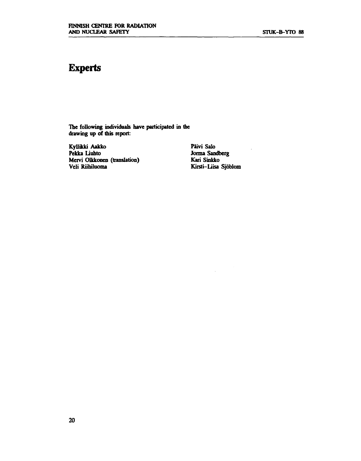### **Experts**

**The following individuals have participated in the drawing up of this report:** 

**Kyllikki Aakko Päivi Salo Mervi Olkkonen (translation)**<br>Veli Riihiluoma

**Perma Sandberg**<br>**Pekko** Kirsti-Liisa Sjöblom